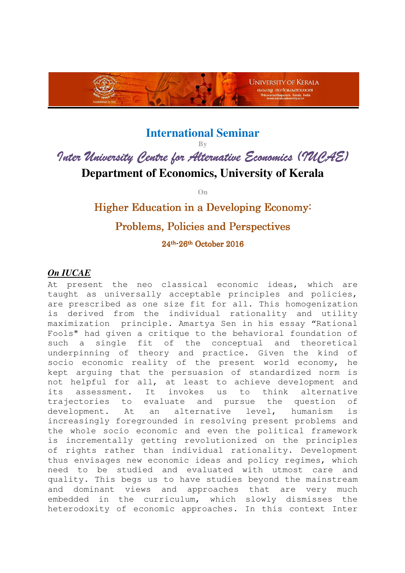

## **International Seminar**

**By** 

Inter University Centre for Alternative Economics (IUCAE) **Department of Economics, University of Kerala** 

**On**

# Higher Education in a Developing Economy: Problems, Policies and Perspectives

24th-26th October 2016

### *On IUCAE*

At present the neo classical economic ideas, which are taught as universally acceptable principles and policies, are prescribed as one size fit for all. This homogenization is derived from the individual rationality and utility maximization principle. Amartya Sen in his essay "Rational Fools" had given a critique to the behavioral foundation of such a single fit of the conceptual and theoretical underpinning of theory and practice. Given the kind of socio economic reality of the present world economy, he kept arguing that the persuasion of standardized norm is not helpful for all, at least to achieve development and its assessment. It invokes us to think alternative trajectories to evaluate and pursue the question of development. At an alternative level, humanism is increasingly foregrounded in resolving present problems and the whole socio economic and even the political framework is incrementally getting revolutionized on the principles of rights rather than individual rationality. Development thus envisages new economic ideas and policy regimes, which need to be studied and evaluated with utmost care and quality. This begs us to have studies beyond the mainstream and dominant views and approaches that are very much embedded in the curriculum, which slowly dismisses the heterodoxity of economic approaches. In this context Inter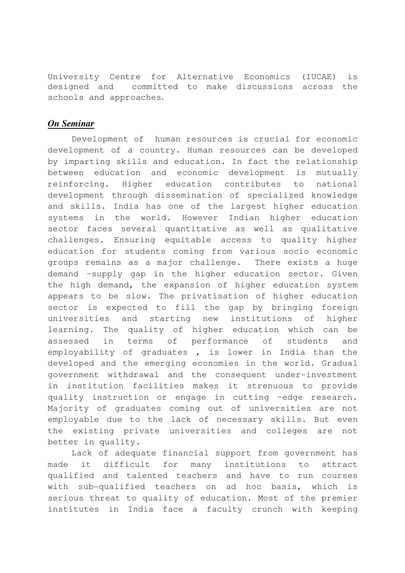University Centre for Alternative Economics (IUCAE) is designed and committed to make discussions across the schools and approaches.

#### *On Seminar*

 Development of human resources is crucial for economic development of a country. Human resources can be developed by imparting skills and education. In fact the relationship between education and economic development is mutually reinforcing. Higher education contributes to national development through dissemination of specialized knowledge and skills. India has one of the largest higher education systems in the world. However Indian higher education sector faces several quantitative as well as qualitative challenges. Ensuring equitable access to quality higher education for students coming from various socio economic groups remains as a major challenge. There exists a huge demand –supply gap in the higher education sector. Given the high demand, the expansion of higher education system appears to be slow. The privatisation of higher education sector is expected to fill the gap by bringing foreign universities and starting new institutions of higher learning. The quality of higher education which can be assessed in terms of performance of students and employability of graduates , is lower in India than the developed and the emerging economies in the world. Gradual government withdrawal and the consequent under-investment in institution facilities makes it strenuous to provide quality instruction or engage in cutting –edge research. Majority of graduates coming out of universities are not employable due to the lack of necessary skills. But even the existing private universities and colleges are not better in quality.

 Lack of adequate financial support from government has made it difficult for many institutions to attract qualified and talented teachers and have to run courses with sub-qualified teachers on ad hoc basis, which is serious threat to quality of education. Most of the premier institutes in India face a faculty crunch with keeping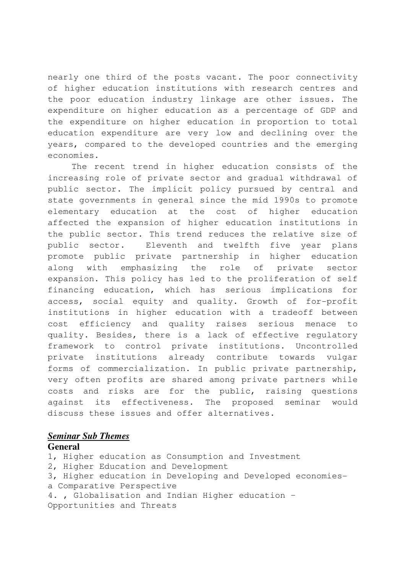nearly one third of the posts vacant. The poor connectivity of higher education institutions with research centres and the poor education industry linkage are other issues. The expenditure on higher education as a percentage of GDP and the expenditure on higher education in proportion to total education expenditure are very low and declining over the years, compared to the developed countries and the emerging economies.

The recent trend in higher education consists of the increasing role of private sector and gradual withdrawal of public sector. The implicit policy pursued by central and state governments in general since the mid 1990s to promote elementary education at the cost of higher education affected the expansion of higher education institutions in the public sector. This trend reduces the relative size of public sector. Eleventh and twelfth five year plans promote public private partnership in higher education along with emphasizing the role of private sector expansion. This policy has led to the proliferation of self financing education, which has serious implications for access, social equity and quality. Growth of for-profit institutions in higher education with a tradeoff between cost efficiency and quality raises serious menace to quality. Besides, there is a lack of effective regulatory framework to control private institutions. Uncontrolled private institutions already contribute towards vulgar forms of commercialization. In public private partnership, very often profits are shared among private partners while costs and risks are for the public, raising questions against its effectiveness. The proposed seminar would discuss these issues and offer alternatives.

#### *Seminar Sub Themes*

#### **General**

- 1, Higher education as Consumption and Investment
- 2, Higher Education and Development
- 3, Higher education in Developing and Developed economiesa Comparative Perspective
- 4. , Globalisation and Indian Higher education Opportunities and Threats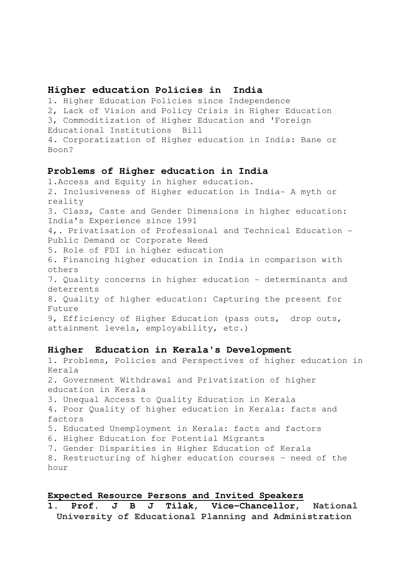#### **Higher education Policies in India**

1. Higher Education Policies since Independence

2, Lack of Vision and Policy Crisis in Higher Education

3, Commoditization of Higher Education and 'Foreign

Educational Institutions Bill

4. Corporatization of Higher education in India: Bane or Boon?

#### **Problems of Higher education in India**

1.Access and Equity in higher education. 2. Inclusiveness of Higher education in India- A myth or reality 3. Class, Caste and Gender Dimensions in higher education: India's Experience since 1991 4,. Privatisation of Professional and Technical Education - Public Demand or Corporate Need 5. Role of FDI in higher education 6. Financing higher education in India in comparison with others 7. Quality concerns in higher education - determinants and deterrents 8. Quality of higher education: Capturing the present for Future 9, Efficiency of Higher Education (pass outs, drop outs, attainment levels, employability, etc.)

#### **Higher Education in Kerala's Development**

1. Problems, Policies and Perspectives of higher education in Kerala 2. Government Withdrawal and Privatization of higher education in Kerala 3. Unequal Access to Quality Education in Kerala 4. Poor Quality of higher education in Kerala: facts and factors 5. Educated Unemployment in Kerala: facts and factors 6. Higher Education for Potential Migrants 7. Gender Disparities in Higher Education of Kerala 8. Restructuring of higher education courses – need of the hour

#### **Expected Resource Persons and Invited Speakers**

**1. Prof. J B J Tilak, Vice-Chancellor, National University of Educational Planning and Administration**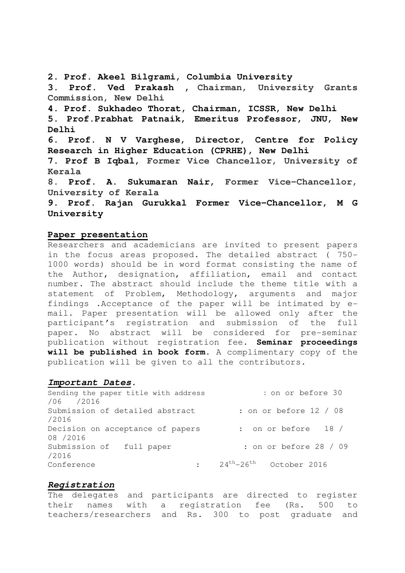**2. Prof. Akeel Bilgrami, Columbia University 3. Prof. Ved Prakash , Chairman, University Grants Commission, New Delhi 4. Prof. Sukhadeo Thorat, Chairman, ICSSR, New Delhi 5. Prof.Prabhat Patnaik, Emeritus Professor, JNU, New Delhi 6. Prof. N V Varghese, Director, Centre for Policy Research in Higher Education (CPRHE), New Delhi 7. Prof B Iqbal, Former Vice Chancellor, University of Kerala 8. Prof. A. Sukumaran Nair, Former Vice-Chancellor, University of Kerala 9. Prof. Rajan Gurukkal Former Vice-Chancellor, M G University** 

#### **Paper presentation**

Researchers and academicians are invited to present papers in the focus areas proposed. The detailed abstract ( 750- 1000 words) should be in word format consisting the name of the Author, designation, affiliation, email and contact number. The abstract should include the theme title with a statement of Problem, Methodology, arguments and major findings .Acceptance of the paper will be intimated by email. Paper presentation will be allowed only after the participant's registration and submission of the full paper. No abstract will be considered for pre-seminar publication without registration fee. **Seminar proceedings will be published in book form**. A complimentary copy of the publication will be given to all the contributors.

#### **Important Dates**.

| : on or before 30                   |
|-------------------------------------|
|                                     |
| : on or before $12 / 08$            |
|                                     |
| : on or before $18/$                |
|                                     |
| : on or before 28 / 09              |
|                                     |
| $24^{th} - 26^{th}$<br>October 2016 |
|                                     |

#### **Registration**

The delegates and participants are directed to register their names with a registration fee (Rs. 500 to teachers/researchers and Rs. 300 to post graduate and